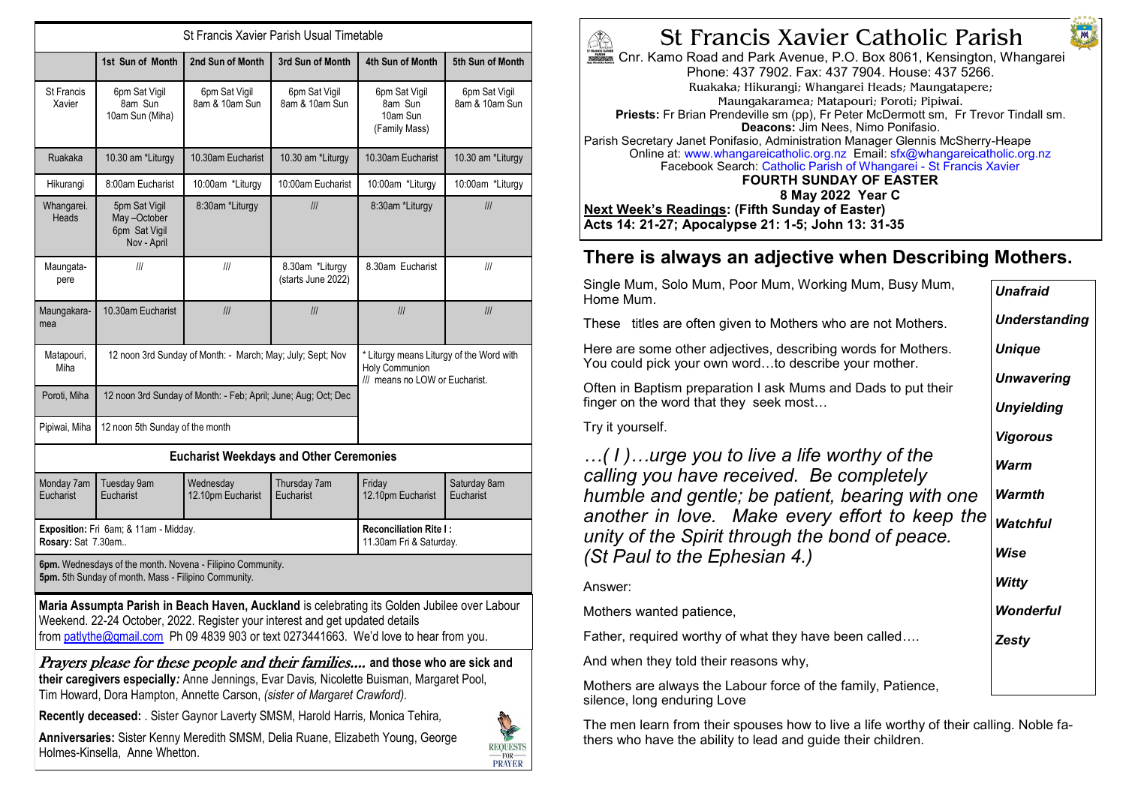| St Francis Xavier Parish Usual Timetable                                                                                                                                                                                                                               |                                                                |                                                          |                                       |                                                                                              |                                                                                                                                                                                                                                                                                                                                                                         |  |
|------------------------------------------------------------------------------------------------------------------------------------------------------------------------------------------------------------------------------------------------------------------------|----------------------------------------------------------------|----------------------------------------------------------|---------------------------------------|----------------------------------------------------------------------------------------------|-------------------------------------------------------------------------------------------------------------------------------------------------------------------------------------------------------------------------------------------------------------------------------------------------------------------------------------------------------------------------|--|
|                                                                                                                                                                                                                                                                        | 1st Sun of Month                                               | 2nd Sun of Month                                         | 3rd Sun of Month                      | 4th Sun of Month                                                                             | 5th Sun of Month                                                                                                                                                                                                                                                                                                                                                        |  |
| St Francis<br>Xavier                                                                                                                                                                                                                                                   | 6pm Sat Vigil<br>8am Sun<br>10am Sun (Miha)                    | 6pm Sat Vigil<br>8am & 10am Sun                          | 6pm Sat Vigil<br>8am & 10am Sun       | 6pm Sat Vigil<br>8am Sun<br>10am Sun<br>(Family Mass)                                        | 6pm Sat Vigil<br>8am & 10am Sun                                                                                                                                                                                                                                                                                                                                         |  |
| Ruakaka                                                                                                                                                                                                                                                                | 10.30 am *Liturgy                                              | 10.30am Eucharist                                        | 10.30 am *Liturgy                     | 10.30am Eucharist                                                                            | 10.30 am *Liturgy                                                                                                                                                                                                                                                                                                                                                       |  |
| Hikurangi                                                                                                                                                                                                                                                              | 8:00am Eucharist                                               | 10:00am *Liturgy                                         | 10:00am Eucharist                     | 10:00am *Liturgy                                                                             | 10:00am *Liturgy                                                                                                                                                                                                                                                                                                                                                        |  |
| Whangarei.<br>Heads                                                                                                                                                                                                                                                    | 5pm Sat Vigil<br>May-October<br>6pm Sat Vigil<br>Nov - April   | 8:30am *Liturgy                                          | III                                   | 8:30am *Liturgy                                                                              | III                                                                                                                                                                                                                                                                                                                                                                     |  |
| Maungata-<br>pere                                                                                                                                                                                                                                                      | III                                                            | III                                                      | 8.30am *Liturgy<br>(starts June 2022) | 8.30am Eucharist                                                                             | $\ensuremath{/\! \! / \! \! / \! \! / \! \! / \! \! / \! \! / \! \! \! / \! \! / \! \! / \! \! / \! \! / \! \! / \! \! / \! \! / \! \! / \! \! / \! \! / \! \! / \! \! / \! \! / \! \! / \! \! / \! \! / \! \! / \! \! / \! \! / \! \! / \! \! / \! \! / \! \! / \! \! / \! \! / \! \! / \! \! / \! \! / \! \! / \! \! / \! \! / \! \! / \! \! / \! \! / \! \! / \! \!$ |  |
| Maungakara-<br>mea                                                                                                                                                                                                                                                     | 10.30am Eucharist                                              | III                                                      | III                                   | III                                                                                          | III                                                                                                                                                                                                                                                                                                                                                                     |  |
| Matapouri,<br>Miha                                                                                                                                                                                                                                                     | 12 noon 3rd Sunday of Month: - March; May; July; Sept; Nov     |                                                          |                                       | * Liturgy means Liturgy of the Word with<br>Holy Communion<br>/// means no LOW or Eucharist. |                                                                                                                                                                                                                                                                                                                                                                         |  |
| Poroti, Miha                                                                                                                                                                                                                                                           | 12 noon 3rd Sunday of Month: - Feb; April; June; Aug; Oct; Dec |                                                          |                                       |                                                                                              |                                                                                                                                                                                                                                                                                                                                                                         |  |
| Pipiwai, Miha                                                                                                                                                                                                                                                          | 12 noon 5th Sunday of the month                                |                                                          |                                       |                                                                                              |                                                                                                                                                                                                                                                                                                                                                                         |  |
| <b>Eucharist Weekdays and Other Ceremonies</b>                                                                                                                                                                                                                         |                                                                |                                                          |                                       |                                                                                              |                                                                                                                                                                                                                                                                                                                                                                         |  |
| Monday 7am<br>Eucharist                                                                                                                                                                                                                                                | <b>Tuesday 9am</b><br><b>Eucharist</b>                         | Wednesday<br>12.10pm Eucharist                           | Thursday 7am<br>Eucharist             | Friday<br>12.10pm Eucharist                                                                  | Saturday 8am<br>Eucharist                                                                                                                                                                                                                                                                                                                                               |  |
| Rosary: Sat 7.30am                                                                                                                                                                                                                                                     | Exposition: Fri 6am; & 11am - Midday.                          | <b>Reconciliation Rite I:</b><br>11.30am Fri & Saturday. |                                       |                                                                                              |                                                                                                                                                                                                                                                                                                                                                                         |  |
| 6pm. Wednesdays of the month. Novena - Filipino Community.<br>5pm. 5th Sunday of month. Mass - Filipino Community.                                                                                                                                                     |                                                                |                                                          |                                       |                                                                                              |                                                                                                                                                                                                                                                                                                                                                                         |  |
| Maria Assumpta Parish in Beach Haven, Auckland is celebrating its Golden Jubilee over Labour<br>Weekend. 22-24 October, 2022. Register your interest and get updated details<br>from patlythe@gmail.com Ph 09 4839 903 or text 0273441663. We'd love to hear from you. |                                                                |                                                          |                                       |                                                                                              |                                                                                                                                                                                                                                                                                                                                                                         |  |
| <i>Prayers please for these people and their families</i> and those who are sick and<br>their caregivers especially: Anne Jennings, Evar Davis, Nicolette Buisman, Margaret Pool,<br>Tim Howard, Dora Hampton, Annette Carson, (sister of Margaret Crawford).          |                                                                |                                                          |                                       |                                                                                              |                                                                                                                                                                                                                                                                                                                                                                         |  |
| Recently deceased: . Sister Gaynor Laverty SMSM, Harold Harris, Monica Tehira,                                                                                                                                                                                         |                                                                |                                                          |                                       |                                                                                              |                                                                                                                                                                                                                                                                                                                                                                         |  |
| Anniversaries: Sister Kenny Meredith SMSM, Delia Ruane, Elizabeth Young, George<br>Holmes-Kinsella, Anne Whetton.<br><b>PRAYER</b>                                                                                                                                     |                                                                |                                                          |                                       |                                                                                              |                                                                                                                                                                                                                                                                                                                                                                         |  |



**M** 

Cnr. Kamo Road and Park Avenue, P.O. Box 8061, Kensington, Whangarei Phone: 437 7902. Fax: 437 7904. House: 437 5266. Ruakaka; Hikurangi; Whangarei Heads; Maungatapere; Maungakaramea; Matapouri; Poroti; Pipiwai. **Priests:** Fr Brian Prendeville sm (pp), Fr Peter McDermott sm, Fr Trevor Tindall sm. **Deacons:** Jim Nees, Nimo Ponifasio. Parish Secretary Janet Ponifasio, Administration Manager Glennis McSherry-Heape Online at: www.whangareicatholic.org.nz Email: sfx@whangareicatholic.org.nz Facebook Search: Catholic Parish of Whangarei - St Francis Xavier **FOURTH SUNDAY OF EASTER 8 May 2022 Year C Next Week's Readings: (Fifth Sunday of Easter) Acts 14: 21-27; Apocalypse 21: 1-5; John 13: 31-35**

## **There is always an adjective when Describing Mothers.**

| Single Mum, Solo Mum, Poor Mum, Working Mum, Busy Mum,<br>Home Mum.                                                   | <b>Unafraid</b>      |
|-----------------------------------------------------------------------------------------------------------------------|----------------------|
| These titles are often given to Mothers who are not Mothers.                                                          | <b>Understanding</b> |
| Here are some other adjectives, describing words for Mothers.<br>You could pick your own wordto describe your mother. | <b>Unique</b>        |
| Often in Baptism preparation I ask Mums and Dads to put their                                                         | <b>Unwavering</b>    |
| finger on the word that they seek most                                                                                | <b>Unyielding</b>    |
| Try it yourself.                                                                                                      | Vigorous             |
| $\ldots$ (1)urge you to live a life worthy of the<br>calling you have received. Be completely                         | Warm                 |
| humble and gentle; be patient, bearing with one                                                                       | Warmth               |
| another in love. Make every effort to keep the<br>unity of the Spirit through the bond of peace.                      | <b>Watchful</b>      |
| (St Paul to the Ephesian 4.)                                                                                          | Wise                 |
| Answer:                                                                                                               | Witty                |
| Mothers wanted patience,                                                                                              | <b>Wonderful</b>     |
| Father, required worthy of what they have been called                                                                 | <b>Zesty</b>         |
| And when they told their reasons why,                                                                                 |                      |
| Mothers are always the Labour force of the family, Patience,                                                          |                      |

silence, long enduring Love

The men learn from their spouses how to live a life worthy of their calling. Noble fathers who have the ability to lead and guide their children.